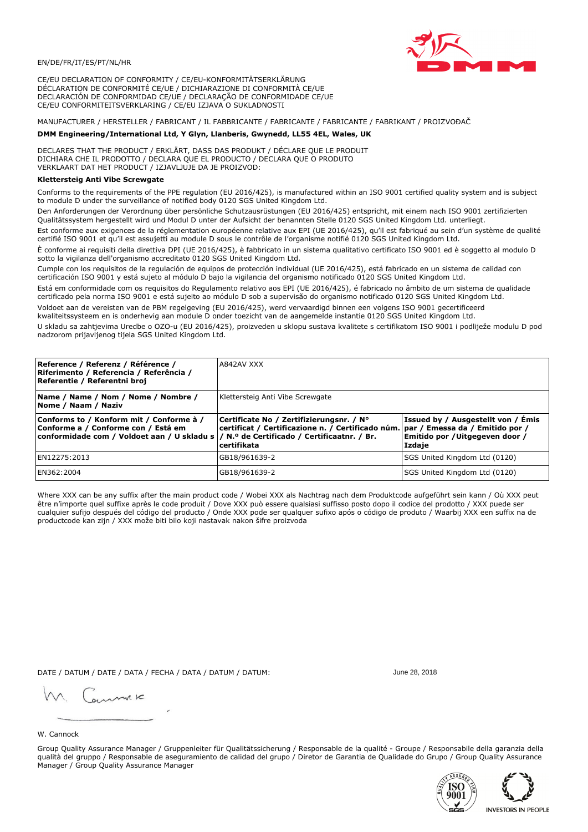

CE/EU DECLARATION OF CONFORMITY / CE/EU-KONFORMITÄTSERKLÄRUNG DÉCLARATION DE CONFORMITÉ CE/UE / DICHIARAZIONE DI CONFORMITÀ CE/UE DECLARACIÓN DE CONFORMIDAD CE/UE / DECLARAÇÃO DE CONFORMIDADE CE/UE CE/EU CONFORMITEITSVERKLARING / CE/EU IZJAVA O SUKLADNOSTI

MANUFACTURER / HERSTELLER / FABRICANT / IL FABBRICANTE / FABRICANTE / FABRICANTE / FABRIKANT / PROIZVOĐAČ

## DMM Engineering/International Ltd, Y Glyn, Llanberis, Gwynedd, LL55 4EL, Wales, UK

DECLARES THAT THE PRODUCT / ERKLÄRT, DASS DAS PRODUKT / DÉCLARE QUE LE PRODUIT<br>DICHIARA CHE IL PRODOTTO / DECLARA QUE EL PRODUCTO / DECLARA QUE O PRODUTO VERKLAART DAT HET PRODUCT / IZJAVLJUJE DA JE PROIZVOD:

# Klettersteig Anti Vibe Screwgate

Conforms to the requirements of the PPE regulation (EU 2016/425), is manufactured within an ISO 9001 certified quality system and is subject to module D under the surveillance of notified body 0120 SGS United Kingdom Ltd.

Den Anforderungen der Verordnung über persönliche Schutzausrüstungen (EU 2016/425) entspricht, mit einem nach ISO 9001 zertifizierten Qualitätssystem hergestellt wird und Modul D unter der Aufsicht der benannten Stelle 0120 SGS United Kingdom Ltd. unterliegt.

Est conforme aux exigences de la réglementation européenne relative aux EPI (UE 2016/425), qu'il est fabriqué au sein d'un système de qualité certifié ISO 9001 et qu'il est assujetti au module D sous le contrôle de l'organisme notifié 0120 SGS United Kingdom Ltd.

È conforme ai requisiti della direttiva DPI (UE 2016/425), è fabbricato in un sistema qualitativo certificato ISO 9001 ed è soggetto al modulo D sotto la vigilanza dell'organismo accreditato 0120 SGS United Kingdom Ltd.

Cumple con los requisitos de la regulación de equipos de protección individual (UE 2016/425), está fabricado en un sistema de calidad con certificación ISO 9001 y está sujeto al módulo D bajo la vigilancia del organismo notificado 0120 SGS United Kingdom Ltd.

Está em conformidade com os requisitos do Regulamento relativo aos EPI (UE 2016/425), é fabricado no âmbito de um sistema de qualidade certificado pela norma ISO 9001 e está sujeito ao módulo D sob a supervisão do organismo notificado 0120 SGS United Kingdom Ltd. Voldoet aan de vereisten van de PBM regelgeving (EU 2016/425), werd vervaardigd binnen een volgens ISO 9001 gecertificeerd

kwaliteitssysteem en is onderhevig aan module D onder toezicht van de aangemelde instantie 0120 SGS United Kingdom Ltd.

U skladu sa zahtjevima Uredbe o OZO-u (EU 2016/425), proizveden u sklopu sustava kvalitete s certifikatom ISO 9001 i podliježe modulu D pod nadzorom prijavljenog tijela SGS United Kingdom Ltd.

| Reference / Referenz / Référence /<br>Riferimento / Referencia / Referência /<br>Referentie / Referentni broj                                                              | A842AV XXX                                                                                                                                   |                                                                                 |
|----------------------------------------------------------------------------------------------------------------------------------------------------------------------------|----------------------------------------------------------------------------------------------------------------------------------------------|---------------------------------------------------------------------------------|
| Name / Name / Nom / Nome / Nombre /<br>Nome / Naam / Naziv                                                                                                                 | Klettersteig Anti Vibe Screwgate                                                                                                             |                                                                                 |
| Conforms to / Konform mit / Conforme à /<br>Conforme a / Conforme con / Está em<br>conformidade com / Voldoet aan / U skladu s / N.º de Certificado / Certificaatnr. / Br. | Certificate No / Zertifizierungsnr. / N°<br>certificat / Certificazione n. / Certificado núm. par / Emessa da / Emitido por /<br>certifikata | Issued by / Ausgestellt von / Émis<br>Emitido por / Uitgegeven door /<br>Izdaje |
| EN12275:2013                                                                                                                                                               | GB18/961639-2                                                                                                                                | SGS United Kingdom Ltd (0120)                                                   |
| EN362:2004                                                                                                                                                                 | GB18/961639-2                                                                                                                                | SGS United Kingdom Ltd (0120)                                                   |

Where XXX can be any suffix after the main product code / Wobei XXX als Nachtrag nach dem Produktcode aufgeführt sein kann / Où XXX peut être n'importe quel suffixe après le code produit / Dove XXX può essere qualsiasi suffisso posto dopo il codice del prodotto / XXX puede ser cualquier sufijo después del código del producto / Onde XXX pode ser qualquer sufixo após o código de produto / Waarbij XXX een suffix na de productcode kan zijn / XXX može biti bilo koji nastavak nakon šifre proizvoda

DATE / DATUM / DATE / DATA / FECHA / DATA / DATUM / DATUM:

gimmic

June 28, 2018



Group Quality Assurance Manager / Gruppenleiter für Qualitätssicherung / Responsable de la qualité - Groupe / Responsabile della garanzia della qualità del gruppo / Responsable de aseguramiento de calidad del grupo / Diretor de Garantia de Qualidade do Grupo / Group Quality Assurance Manager / Group Quality Assurance Manager



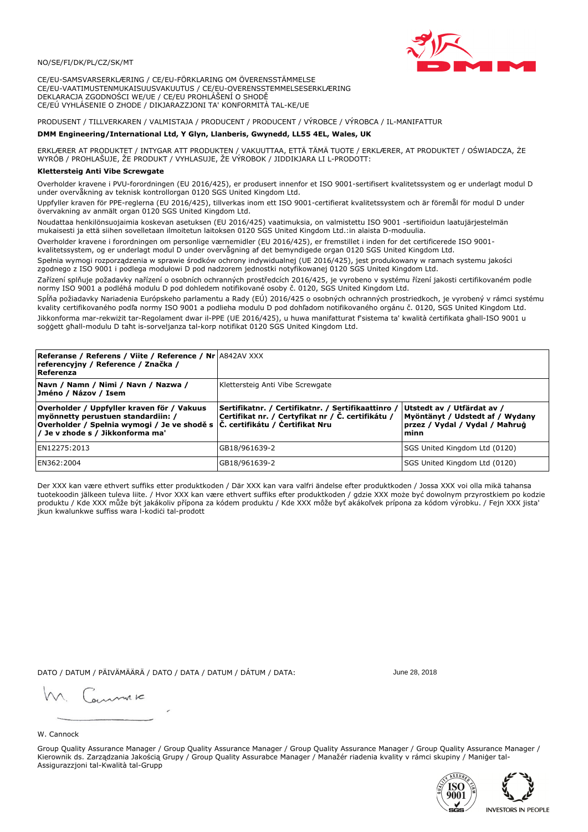

CE/EU-SAMSVARSERKLÆRING / CE/EU-FÖRKLARING OM ÖVERENSSTÄMMELSE CE/EU-VAATIMUSTENMUKAISUUSVAKUUTUS / CE/EU-OVERENSSTEMMELSESERKLÆRING DEKLARACJA ZGODNOŚCI WE/UE / CE/EU PROHLÁŠENÍ O SHODĚ CE/EÚ VYHLÁSENIE O ZHODE / DIKJARAZZJONI TA' KONFORMITÀ TAL-KE/UE

PRODUSENT / TILLVERKAREN / VALMISTAJA / PRODUCENT / PRODUCENT / VÝROBCE / VÝROBCA / IL-MANIFATTUR

## DMM Engineering/International Ltd, Y Glyn, Llanberis, Gwynedd, LL55 4EL, Wales, UK

ERKLÆRER AT PRODUKTET / INTYGAR ATT PRODUKTEN / VAKUUTTAA, ETTÄ TÄMÄ TUOTE / ERKLÆRER, AT PRODUKTET / OŚWIADCZA, ŻE<br>WYRÓB / PROHLAŠUJE, ŽE PRODUKT / VYHLASUJE, ŽE VÝROBOK / JIDDIKJARA LI L-PRODOTT:

## Klettersteig Anti Vibe Screwgate

Overholder kravene i PVU-forordningen (EU 2016/425), er produsert innenfor et ISO 9001-sertifisert kvalitetssystem og er underlagt modul Dunder overvåkning av teknisk kontrollorgan 0120 SGS United Kingdom Ltd.

Uppfyller kraven för PPE-reglerna (EU 2016/425), tillverkas inom ett ISO 9001-certifierat kvalitetssystem och är föremål för modul D under övervakning av anmält organ 0120 SGS United Kingdom Ltd.

Noudattaa henkilönsuojaimia koskevan asetuksen (EU 2016/425) vaatimuksia, on valmistettu ISO 9001 -sertifioidun laatujärjestelmän mukaisesti ja että siihen sovelletaan ilmoitetun laitoksen 0120 SGS United Kingdom Ltd.:in alaista D-moduulia.

Overholder kravene i forordningen om personlige værnemidler (EU 2016/425), er fremstillet i inden for det certificerede ISO 9001kvalitetssystem, og er underlagt modul D under overvågning af det bemyndigede organ 0120 SGS United Kingdom Ltd.

Spełnia wymogi rozporządzenia w sprawie środków ochrony indywidualnej (UE 2016/425), jest produkowany w ramach systemu jakości zgodnego z ISO 9001 i podlega modułowi D pod nadzorem jednostki notyfikowanej 0120 SGS United Kingdom Ltd.

Zařízení splňuje požadavky nařízení o osobních ochranných prostředcích 2016/425, je vyrobeno v systému řízení jakosti certifikovaném podle normy ISO 9001 a podléhá modulu D pod dohledem notifikované osoby č. 0120, SGS United Kingdom Ltd.

Spĺňa požiadavky Nariadenia Európskeho parlamentu a Rady (EÚ) 2016/425 o osobných ochranných prostriedkoch, je vyrobený v rámci systému kvality certifikovaného podľa normy ISO 9001 a podlieha modulu D pod dohľadom notifikovaného orgánu č. 0120, SGS Únited Kingdom Ltd. Jikkonforma mar-rekwiżit tar-Regolament dwar il-PPE (UE 2016/425), u huwa manifatturat f'sistema ta' kwalità certifikata għall-ISO 9001 u soggett ghall-modulu D taht is-sorveljanza tal-korp notifikat 0120 SGS United Kingdom Ltd.

| Referanse / Referens / Viite / Reference / Nr A842AV XXX<br>referencyjny / Reference / Značka /<br>Referenza                                                                                                      |                                                                                                         |                                                                                                         |
|-------------------------------------------------------------------------------------------------------------------------------------------------------------------------------------------------------------------|---------------------------------------------------------------------------------------------------------|---------------------------------------------------------------------------------------------------------|
| Navn / Namn / Nimi / Navn / Nazwa /<br>Jméno / Názov / Isem                                                                                                                                                       | Klettersteig Anti Vibe Screwgate                                                                        |                                                                                                         |
| Overholder / Uppfyller kraven för / Vakuus<br>myönnetty perustuen standardiin: /<br>$\mid$ Overholder / Spełnia wymogi / Je ve shodě s $\mid$ Č. certifikátu / Čertifikat Nru<br>/ Je v zhode s / Jikkonforma ma' | Sertifikatnr. / Certifikatnr. / Sertifikaattinro /<br>Certifikat nr. / Certyfikat nr / Č. certifikátu / | Utstedt av / Utfärdat av /<br>Myöntänyt / Udstedt af / Wydany<br>przez / Vydal / Vydal / Mahrug<br>minn |
| EN12275:2013                                                                                                                                                                                                      | GB18/961639-2                                                                                           | SGS United Kingdom Ltd (0120)                                                                           |
| EN362:2004                                                                                                                                                                                                        | GB18/961639-2                                                                                           | SGS United Kingdom Ltd (0120)                                                                           |

Der XXX kan være ethvert suffiks etter produktkoden / Där XXX kan vara valfri ändelse efter produktkoden / Jossa XXX voi olla mikä tahansa tuotekoodin jälkeen tuleva liite. / Hvor XXX kan være ethvert suffiks efter produktkoden / gdzie XXX može być dowolnym przyrostkiem po kodzie<br>produktu / Kde XXX může být jakákoliv přípona za kódem produktu / Kde XXX môže b jkun kwalunkwe suffiss wara l-kodići tal-prodott

DATO / DATUM / PÄIVÄMÄÄRÄ / DATO / DATA / DATUM / DÁTUM / DATA:

June 28, 2018

annuic

#### W. Cannock

Group Quality Assurance Manager / Group Quality Assurance Manager / Group Quality Assurance Manager / Group Quality Assurance Manager / Kierownik ds. Zarządzania Jakością Grupy / Group Quality Assurabce Manager / Manažér riadenia kvality v rámci skupiny / Maniger tal-Assigurazzjoni tal-Kwalità tal-Grupp